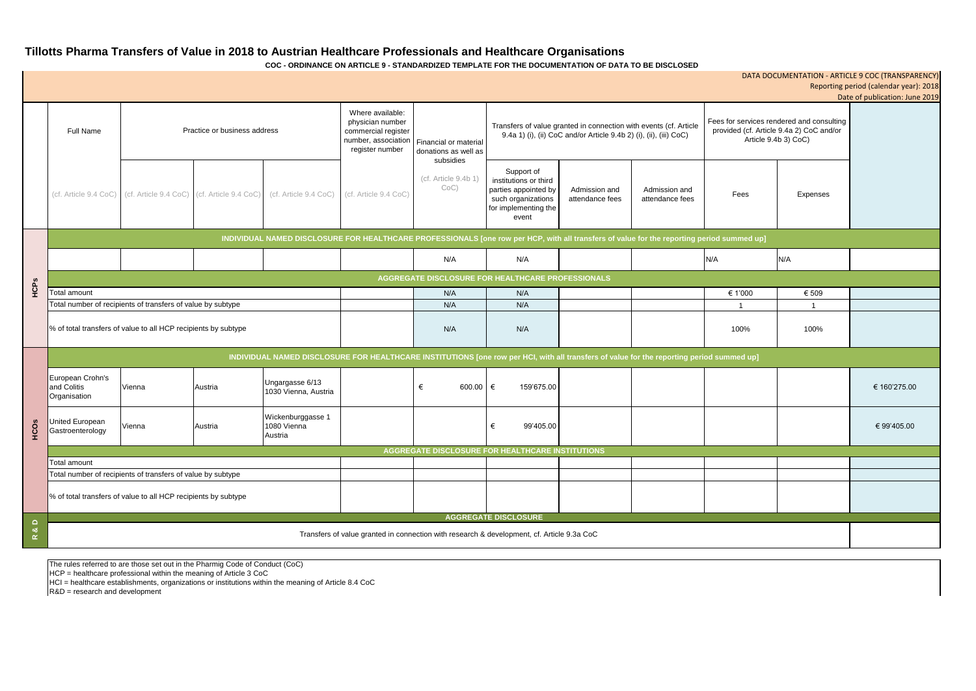# **Tillotts Pharma Transfers of Value in 2018 to Austrian Healthcare Professionals and Healthcare Organisations**

**COC - ORDINANCE ON ARTICLE 9 - STANDARDIZED TEMPLATE FOR THE DOCUMENTATION OF DATA TO BE DISCLOSED**

| DATA DOCUMENTATION - ARTICLE 9 COC (TRANSPARENCY)<br>Reporting period (calendar year): 2018 |                                                                                                                                            |                                                                |         |                                                                                                       |                                                            |                                                                                                                                         |                                                                                                                    |                                  |                                                                                                               |         |                |                                |
|---------------------------------------------------------------------------------------------|--------------------------------------------------------------------------------------------------------------------------------------------|----------------------------------------------------------------|---------|-------------------------------------------------------------------------------------------------------|------------------------------------------------------------|-----------------------------------------------------------------------------------------------------------------------------------------|--------------------------------------------------------------------------------------------------------------------|----------------------------------|---------------------------------------------------------------------------------------------------------------|---------|----------------|--------------------------------|
|                                                                                             |                                                                                                                                            |                                                                |         |                                                                                                       |                                                            |                                                                                                                                         |                                                                                                                    |                                  |                                                                                                               |         |                | Date of publication: June 2019 |
|                                                                                             | Practice or business address<br><b>Full Name</b>                                                                                           |                                                                |         | Where available:<br>physician number<br>commercial register<br>number, association<br>register number | Financial or material<br>donations as well as<br>subsidies | Transfers of value granted in connection with events (cf. Article<br>9.4a 1) (i), (ii) CoC and/or Article 9.4b 2) (i), (ii), (iii) CoC) |                                                                                                                    |                                  | Fees for services rendered and consulting<br>provided (cf. Article 9.4a 2) CoC and/or<br>Article 9.4b 3) CoC) |         |                |                                |
|                                                                                             | (cf. Article 9.4 CoC)                                                                                                                      | (cf. Article 9.4 CoC) (cf. Article 9.4 CoC)                    |         | (cf. Article 9.4 CoC)                                                                                 | (cf. Article 9.4 CoC)                                      | (cf. Article 9.4b 1)<br>$CoC$ )                                                                                                         | Support of<br>institutions or third<br>parties appointed by<br>such organizations<br>for implementing the<br>event | Admission and<br>attendance fees | Admission and<br>attendance fees                                                                              | Fees    | Expenses       |                                |
|                                                                                             | INDIVIDUAL NAMED DISCLOSURE FOR HEALTHCARE PROFESSIONALS [one row per HCP, with all transfers of value for the reporting period summed up] |                                                                |         |                                                                                                       |                                                            |                                                                                                                                         |                                                                                                                    |                                  |                                                                                                               |         |                |                                |
|                                                                                             |                                                                                                                                            |                                                                |         |                                                                                                       |                                                            | N/A                                                                                                                                     | N/A                                                                                                                |                                  |                                                                                                               | N/A     | N/A            |                                |
|                                                                                             | AGGREGATE DISCLOSURE FOR HEALTHCARE PROFESSIONALS                                                                                          |                                                                |         |                                                                                                       |                                                            |                                                                                                                                         |                                                                                                                    |                                  |                                                                                                               |         |                |                                |
| HCPS                                                                                        | Total amount                                                                                                                               |                                                                |         |                                                                                                       |                                                            | N/A                                                                                                                                     | N/A                                                                                                                |                                  |                                                                                                               | € 1'000 | € 509          |                                |
|                                                                                             | Total number of recipients of transfers of value by subtype                                                                                |                                                                |         |                                                                                                       |                                                            | N/A                                                                                                                                     | N/A                                                                                                                |                                  |                                                                                                               |         | $\overline{1}$ |                                |
|                                                                                             | % of total transfers of value to all HCP recipients by subtype                                                                             |                                                                |         |                                                                                                       |                                                            | N/A                                                                                                                                     | N/A                                                                                                                |                                  |                                                                                                               | 100%    | 100%           |                                |
|                                                                                             | INDIVIDUAL NAMED DISCLOSURE FOR HEALTHCARE INSTITUTIONS [one row per HCI, with all transfers of value for the reporting period summed up]  |                                                                |         |                                                                                                       |                                                            |                                                                                                                                         |                                                                                                                    |                                  |                                                                                                               |         |                |                                |
| <b>HCOS</b>                                                                                 | European Crohn's<br>and Colitis<br>Organisation                                                                                            | Vienna                                                         | Austria | Ungargasse 6/13<br>1030 Vienna, Austria                                                               |                                                            | 600.00<br>€                                                                                                                             | €<br>159'675.00                                                                                                    |                                  |                                                                                                               |         |                | € 160'275.00                   |
|                                                                                             | United European<br>Gastroenterology                                                                                                        | Vienna                                                         | Austria | Wickenburggasse 1<br>1080 Vienna<br>Austria                                                           |                                                            |                                                                                                                                         | 99'405.00<br>€                                                                                                     |                                  |                                                                                                               |         |                | € 99'405.00                    |
|                                                                                             | AGGREGATE DISCLOSURE FOR HEALTHCARE INSTITUTIONS                                                                                           |                                                                |         |                                                                                                       |                                                            |                                                                                                                                         |                                                                                                                    |                                  |                                                                                                               |         |                |                                |
|                                                                                             | <b>Total amount</b>                                                                                                                        |                                                                |         |                                                                                                       |                                                            |                                                                                                                                         |                                                                                                                    |                                  |                                                                                                               |         |                |                                |
|                                                                                             | Total number of recipients of transfers of value by subtype                                                                                |                                                                |         |                                                                                                       |                                                            |                                                                                                                                         |                                                                                                                    |                                  |                                                                                                               |         |                |                                |
|                                                                                             |                                                                                                                                            | % of total transfers of value to all HCP recipients by subtype |         |                                                                                                       |                                                            |                                                                                                                                         |                                                                                                                    |                                  |                                                                                                               |         |                |                                |
| $\mathsf{d}$<br><u>ಯ</u><br>$\propto$                                                       | <b>AGGREGATE DISCLOSURE</b>                                                                                                                |                                                                |         |                                                                                                       |                                                            |                                                                                                                                         |                                                                                                                    |                                  |                                                                                                               |         |                |                                |
|                                                                                             | Transfers of value granted in connection with research & development, cf. Article 9.3a CoC                                                 |                                                                |         |                                                                                                       |                                                            |                                                                                                                                         |                                                                                                                    |                                  |                                                                                                               |         |                |                                |

The rules referred to are those set out in the Pharmig Code of Conduct (CoC)

HCP = healthcare professional within the meaning of Article 3 CoC

HCI = healthcare establishments, organizations or institutions within the meaning of Article 8.4 CoC

R&D = research and development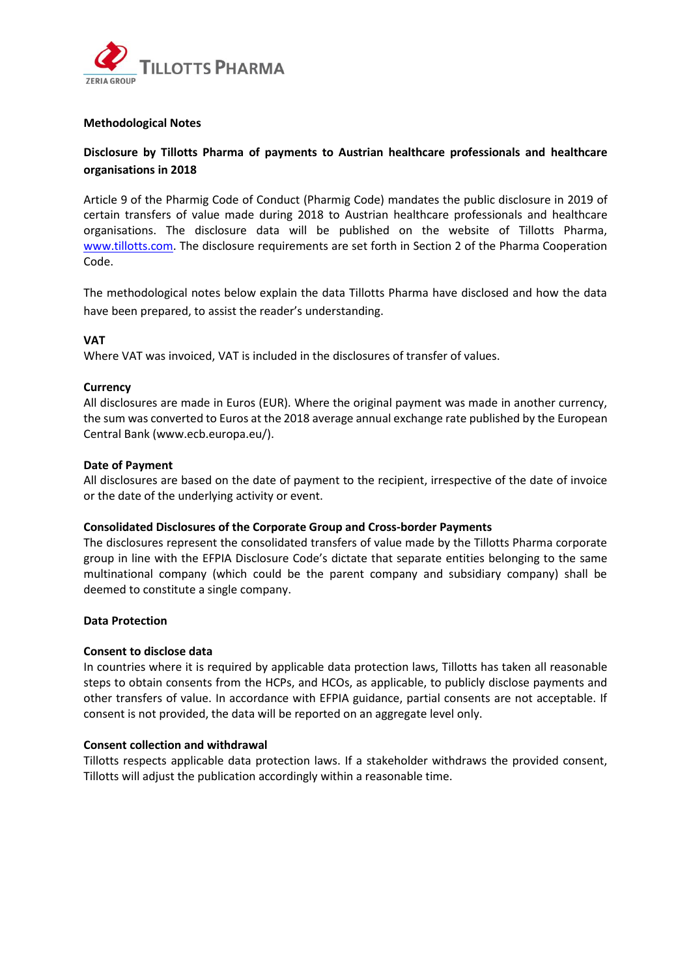

## **Methodological Notes**

## **Disclosure by Tillotts Pharma of payments to Austrian healthcare professionals and healthcare organisations in 2018**

Article 9 of the Pharmig Code of Conduct (Pharmig Code) mandates the public disclosure in 2019 of certain transfers of value made during 2018 to Austrian healthcare professionals and healthcare organisations. The disclosure data will be published on the website of Tillotts Pharma, [www.tillotts.com.](http://www.tillotts.com/) The disclosure requirements are set forth in Section 2 of the Pharma Cooperation Code.

The methodological notes below explain the data Tillotts Pharma have disclosed and how the data have been prepared, to assist the reader's understanding.

## **VAT**

Where VAT was invoiced, VAT is included in the disclosures of transfer of values.

## **Currency**

All disclosures are made in Euros (EUR). Where the original payment was made in another currency, the sum was converted to Euros at the 2018 average annual exchange rate published by the European Central Bank (www.ecb.europa.eu/).

## **Date of Payment**

All disclosures are based on the date of payment to the recipient, irrespective of the date of invoice or the date of the underlying activity or event.

#### **Consolidated Disclosures of the Corporate Group and Cross-border Payments**

The disclosures represent the consolidated transfers of value made by the Tillotts Pharma corporate group in line with the EFPIA Disclosure Code's dictate that separate entities belonging to the same multinational company (which could be the parent company and subsidiary company) shall be deemed to constitute a single company.

#### **Data Protection**

## **Consent to disclose data**

In countries where it is required by applicable data protection laws, Tillotts has taken all reasonable steps to obtain consents from the HCPs, and HCOs, as applicable, to publicly disclose payments and other transfers of value. In accordance with EFPIA guidance, partial consents are not acceptable. If consent is not provided, the data will be reported on an aggregate level only.

#### **Consent collection and withdrawal**

Tillotts respects applicable data protection laws. If a stakeholder withdraws the provided consent, Tillotts will adjust the publication accordingly within a reasonable time.